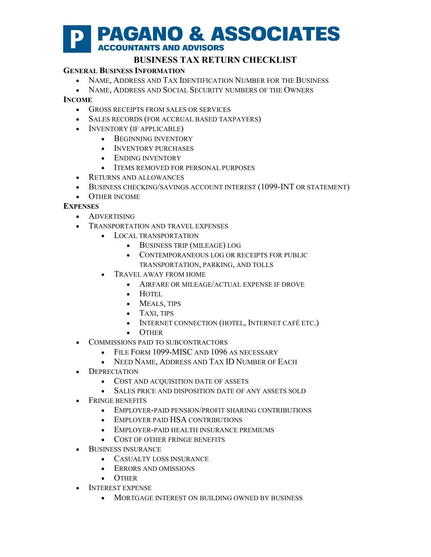

# **BUSINESS TAX RETURN CHECKLIST**

### **GENERAL BUSINESS INFORMATION**

- NAME, ADDRESS AND TAX IDENTIFICATION NUMBER FOR THE BUSINESS
- NAME, ADDRESS AND SOCIAL SECURITY NUMBERS OF THE OWNERS

### **INCOME**

- GROSS RECEIPTS FROM SALES OR SERVICES
- SALES RECORDS (FOR ACCRUAL BASED TAXPAYERS)
- INVENTORY (IF APPLICABLE)
	- BEGINNING INVENTORY
	- INVENTORY PURCHASES
	- ENDING INVENTORY
	- ITEMS REMOVED FOR PERSONAL PURPOSES
- RETURNS AND ALLOWANCES
- BUSINESS CHECKING/SAVINGS ACCOUNT INTEREST (1099-INT OR STATEMENT)
- OTHER INCOME

## **EXPENSES**

- ADVERTISING
- TRANSPORTATION AND TRAVEL EXPENSES
	- LOCAL TRANSPORTATION
		- BUSINESS TRIP (MILEAGE) LOG
		- CONTEMPORANEOUS LOG OR RECEIPTS FOR PUBLIC TRANSPORTATION, PARKING, AND TOLLS
	- TRAVEL AWAY FROM HOME
		- AIRFARE OR MILEAGE/ACTUAL EXPENSE IF DROVE
		- HOTEL
		- MEALS, TIPS
		- TAXI, TIPS
		- INTERNET CONNECTION (HOTEL, INTERNET CAFÉ ETC.)
		- OTHER
- COMMISSIONS PAID TO SUBCONTRACTORS
	- FILE FORM 1099-MISC AND 1096 AS NECESSARY
	- NEED NAME, ADDRESS AND TAX ID NUMBER OF EACH
- DEPRECIATION
	- COST AND ACQUISITION DATE OF ASSETS
	- SALES PRICE AND DISPOSITION DATE OF ANY ASSETS SOLD
- FRINGE BENEFITS
	- EMPLOYER-PAID PENSION/PROFIT SHARING CONTRIBUTIONS
	- EMPLOYER PAID HSA CONTRIBUTIONS
	- EMPLOYER-PAID HEALTH INSURANCE PREMIUMS
	- COST OF OTHER FRINGE BENEFITS
- BUSINESS INSURANCE
	- CASUALTY LOSS INSURANCE
	- ERRORS AND OMISSIONS
	- OTHER
- INTEREST EXPENSE
	- MORTGAGE INTEREST ON BUILDING OWNED BY BUSINESS